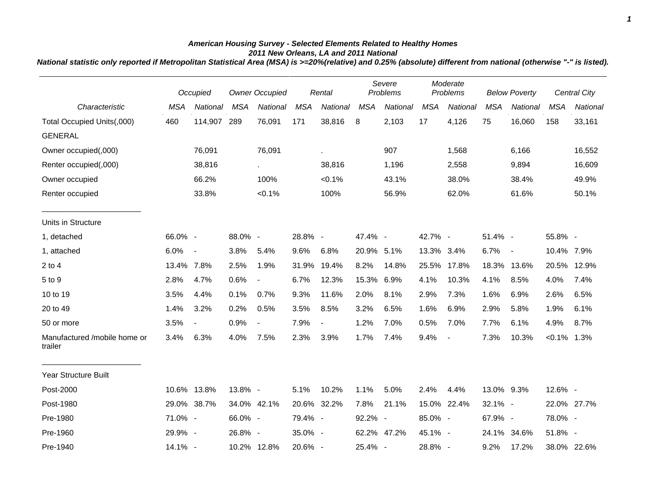## *American Housing Survey - Selected Elements Related to Healthy Homes 2011 New Orleans, LA and 2011 National*

*National statistic only reported if Metropolitan Statistical Area (MSA) is >=20%(relative) and 0.25% (absolute) different from national (otherwise "-" is listed).*

|                                         |            | Occupied                 | <b>Owner Occupied</b> |                          | Rental     |             | Severe<br>Problems |             | Moderate<br>Problems |                          | <b>Below Poverty</b> |             | Central City   |             |
|-----------------------------------------|------------|--------------------------|-----------------------|--------------------------|------------|-------------|--------------------|-------------|----------------------|--------------------------|----------------------|-------------|----------------|-------------|
| Characteristic                          | <b>MSA</b> | National                 | <b>MSA</b>            | National                 | <b>MSA</b> | National    | <b>MSA</b>         | National    | <b>MSA</b>           | National                 | <b>MSA</b>           | National    | <b>MSA</b>     | National    |
| Total Occupied Units(,000)              | 460        | 114,907 289              |                       | 76,091                   | 171        | 38,816      | 8                  | 2,103       | 17                   | 4,126                    | 75                   | 16,060      | 158            | 33,161      |
| <b>GENERAL</b>                          |            |                          |                       |                          |            |             |                    |             |                      |                          |                      |             |                |             |
| Owner occupied(,000)                    |            | 76,091                   |                       | 76,091                   |            | ä.          |                    | 907         |                      | 1,568                    |                      | 6,166       |                | 16,552      |
| Renter occupied(,000)                   |            | 38,816                   |                       | $\epsilon$               |            | 38,816      |                    | 1,196       |                      | 2,558                    |                      | 9,894       |                | 16,609      |
| Owner occupied                          |            | 66.2%                    |                       | 100%                     |            | $< 0.1\%$   |                    | 43.1%       |                      | 38.0%                    |                      | 38.4%       |                | 49.9%       |
| Renter occupied                         |            | 33.8%                    |                       | $< 0.1\%$                |            | 100%        |                    | 56.9%       |                      | 62.0%                    |                      | 61.6%       |                | 50.1%       |
| Units in Structure                      |            |                          |                       |                          |            |             |                    |             |                      |                          |                      |             |                |             |
| 1, detached                             | 66.0% -    |                          | 88.0% -               |                          | 28.8% -    |             | 47.4% -            |             | 42.7% -              |                          | 51.4% -              |             | 55.8% -        |             |
| 1, attached                             | 6.0%       | $\sim$                   | 3.8%                  | 5.4%                     | 9.6%       | 6.8%        | 20.9% 5.1%         |             | 13.3% 3.4%           |                          | 6.7%                 | $\sim$      | 10.4% 7.9%     |             |
| $2$ to $4$                              | 13.4% 7.8% |                          | 2.5%                  | 1.9%                     | 31.9%      | 19.4%       | 8.2%               | 14.8%       | 25.5%                | 17.8%                    |                      | 18.3% 13.6% | 20.5%          | 12.9%       |
| 5 to 9                                  | 2.8%       | 4.7%                     | 0.6%                  | $\overline{\phantom{a}}$ | 6.7%       | 12.3%       | 15.3% 6.9%         |             | 4.1%                 | 10.3%                    | 4.1%                 | 8.5%        | 4.0%           | 7.4%        |
| 10 to 19                                | 3.5%       | 4.4%                     | 0.1%                  | 0.7%                     | 9.3%       | 11.6%       | 2.0%               | 8.1%        | 2.9%                 | 7.3%                     | 1.6%                 | 6.9%        | 2.6%           | 6.5%        |
| 20 to 49                                | 1.4%       | 3.2%                     | 0.2%                  | 0.5%                     | 3.5%       | 8.5%        | 3.2%               | 6.5%        | 1.6%                 | 6.9%                     | 2.9%                 | 5.8%        | 1.9%           | 6.1%        |
| 50 or more                              | 3.5%       | $\overline{\phantom{a}}$ | 0.9%                  |                          | 7.9%       |             | 1.2%               | 7.0%        | 0.5%                 | 7.0%                     | 7.7%                 | 6.1%        | 4.9%           | 8.7%        |
| Manufactured /mobile home or<br>trailer | 3.4%       | 6.3%                     | 4.0%                  | 7.5%                     | 2.3%       | 3.9%        | 1.7%               | 7.4%        | 9.4%                 | $\overline{\phantom{a}}$ | 7.3%                 | 10.3%       | $< 0.1\%$ 1.3% |             |
| Year Structure Built                    |            |                          |                       |                          |            |             |                    |             |                      |                          |                      |             |                |             |
| Post-2000                               |            | 10.6% 13.8%              | 13.8% -               |                          | 5.1%       | 10.2%       | 1.1%               | 5.0%        | 2.4%                 | 4.4%                     | 13.0% 9.3%           |             | 12.6% -        |             |
| Post-1980                               |            | 29.0% 38.7%              |                       | 34.0% 42.1%              |            | 20.6% 32.2% | 7.8%               | 21.1%       |                      | 15.0% 22.4%              | 32.1% -              |             |                | 22.0% 27.7% |
| Pre-1980                                | 71.0% -    |                          | 66.0% -               |                          | 79.4% -    |             | 92.2% -            |             | 85.0% -              |                          | 67.9% -              |             | 78.0% -        |             |
| Pre-1960                                | 29.9% -    |                          | 26.8% -               |                          | 35.0% -    |             |                    | 62.2% 47.2% | 45.1% -              |                          | 24.1%                | 34.6%       | 51.8% -        |             |
| Pre-1940                                | 14.1% -    |                          |                       | 10.2% 12.8%              | 20.6% -    |             | 25.4% -            |             | 28.8% -              |                          | 9.2%                 | 17.2%       |                | 38.0% 22.6% |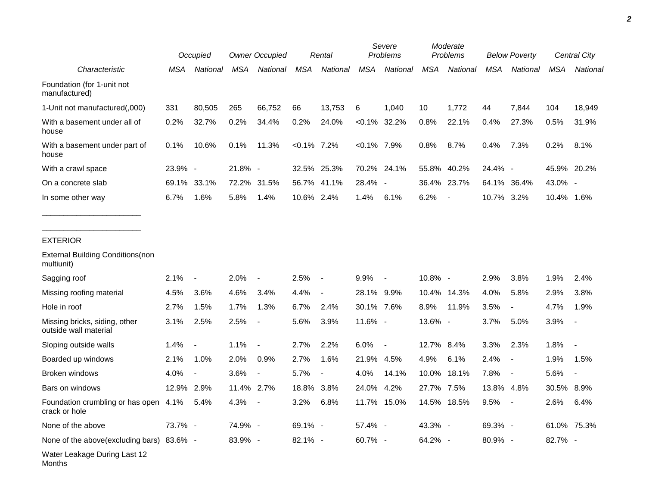|                                                        |         | Occupied                 |            | <b>Owner Occupied</b> |                | Rental                   |                | Severe<br>Problems |            | Moderate<br>Problems     |         | <b>Below Poverty</b>     |            | Central City             |
|--------------------------------------------------------|---------|--------------------------|------------|-----------------------|----------------|--------------------------|----------------|--------------------|------------|--------------------------|---------|--------------------------|------------|--------------------------|
| Characteristic                                         | MSA     | National                 | MSA        | National              | <b>MSA</b>     | National                 | <b>MSA</b>     | National           | <b>MSA</b> | National                 | MSA     | National                 | <b>MSA</b> | National                 |
| Foundation (for 1-unit not<br>manufactured)            |         |                          |            |                       |                |                          |                |                    |            |                          |         |                          |            |                          |
| 1-Unit not manufactured(,000)                          | 331     | 80,505                   | 265        | 66,752                | 66             | 13,753                   | 6              | 1,040              | 10         | 1,772                    | 44      | 7,844                    | 104        | 18,949                   |
| With a basement under all of<br>house                  | 0.2%    | 32.7%                    | 0.2%       | 34.4%                 | 0.2%           | 24.0%                    |                | $< 0.1\%$ 32.2%    | 0.8%       | 22.1%                    | 0.4%    | 27.3%                    | 0.5%       | 31.9%                    |
| With a basement under part of<br>house                 | 0.1%    | 10.6%                    | 0.1%       | 11.3%                 | $< 0.1\%$ 7.2% |                          | $< 0.1\%$ 7.9% |                    | 0.8%       | 8.7%                     | 0.4%    | 7.3%                     | 0.2%       | 8.1%                     |
| With a crawl space                                     | 23.9% - |                          | $21.8\%$ - |                       |                | 32.5% 25.3%              |                | 70.2% 24.1%        | 55.8%      | 40.2%                    | 24.4% - |                          |            | 45.9% 20.2%              |
| On a concrete slab                                     | 69.1%   | 33.1%                    | 72.2%      | 31.5%                 | 56.7%          | 41.1%                    | 28.4% -        |                    | 36.4%      | 23.7%                    | 64.1%   | 36.4%                    | 43.0% -    |                          |
| In some other way                                      | 6.7%    | 1.6%                     | 5.8%       | 1.4%                  | 10.6% 2.4%     |                          | 1.4%           | 6.1%               | 6.2%       | $\overline{\phantom{a}}$ | 10.7%   | 3.2%                     | 10.4% 1.6% |                          |
| <b>EXTERIOR</b>                                        |         |                          |            |                       |                |                          |                |                    |            |                          |         |                          |            |                          |
| <b>External Building Conditions (non</b><br>multiunit) |         |                          |            |                       |                |                          |                |                    |            |                          |         |                          |            |                          |
| Sagging roof                                           | 2.1%    | $\overline{\phantom{a}}$ | 2.0%       | $\blacksquare$        | 2.5%           | $\overline{\phantom{a}}$ | 9.9%           |                    | 10.8% -    |                          | 2.9%    | 3.8%                     | 1.9%       | 2.4%                     |
| Missing roofing material                               | 4.5%    | 3.6%                     | 4.6%       | 3.4%                  | 4.4%           | $\blacksquare$           | 28.1% 9.9%     |                    | 10.4%      | 14.3%                    | 4.0%    | 5.8%                     | 2.9%       | 3.8%                     |
| Hole in roof                                           | 2.7%    | 1.5%                     | 1.7%       | 1.3%                  | 6.7%           | 2.4%                     | 30.1% 7.6%     |                    | 8.9%       | 11.9%                    | 3.5%    |                          | 4.7%       | 1.9%                     |
| Missing bricks, siding, other<br>outside wall material | 3.1%    | 2.5%                     | 2.5%       |                       | 5.6%           | 3.9%                     | 11.6% -        |                    | 13.6% -    |                          | 3.7%    | 5.0%                     | 3.9%       | $\blacksquare$           |
| Sloping outside walls                                  | 1.4%    | $\blacksquare$           | 1.1%       |                       | 2.7%           | 2.2%                     | 6.0%           | $\blacksquare$     | 12.7%      | 8.4%                     | 3.3%    | 2.3%                     | 1.8%       |                          |
| Boarded up windows                                     | 2.1%    | 1.0%                     | 2.0%       | 0.9%                  | 2.7%           | 1.6%                     | 21.9%          | 4.5%               | 4.9%       | 6.1%                     | 2.4%    | $\overline{\phantom{a}}$ | 1.9%       | 1.5%                     |
| Broken windows                                         | 4.0%    | $\blacksquare$           | 3.6%       | $\blacksquare$        | 5.7%           | $\overline{\phantom{a}}$ | 4.0%           | 14.1%              | 10.0%      | 18.1%                    | 7.8%    | $\overline{\phantom{a}}$ | 5.6%       | $\overline{\phantom{a}}$ |
| Bars on windows                                        | 12.9%   | 2.9%                     | 11.4%      | 2.7%                  | 18.8%          | 3.8%                     | 24.0%          | 4.2%               | 27.7%      | 7.5%                     | 13.8%   | 4.8%                     | 30.5%      | 8.9%                     |
| Foundation crumbling or has open 4.1%<br>crack or hole |         | 5.4%                     | 4.3%       |                       | 3.2%           | 6.8%                     |                | 11.7% 15.0%        | 14.5%      | 18.5%                    | 9.5%    |                          | 2.6%       | 6.4%                     |
| None of the above                                      | 73.7% - |                          | 74.9% -    |                       | 69.1% -        |                          | 57.4% -        |                    | 43.3% -    |                          | 69.3% - |                          |            | 61.0% 75.3%              |
| None of the above(excluding bars) 83.6% -              |         |                          | 83.9% -    |                       | 82.1% -        |                          | 60.7% -        |                    | 64.2% -    |                          | 80.9% - |                          | 82.7% -    |                          |
| Water Leakage During Last 12<br>Months                 |         |                          |            |                       |                |                          |                |                    |            |                          |         |                          |            |                          |

*2*

 $\overline{\phantom{0}}$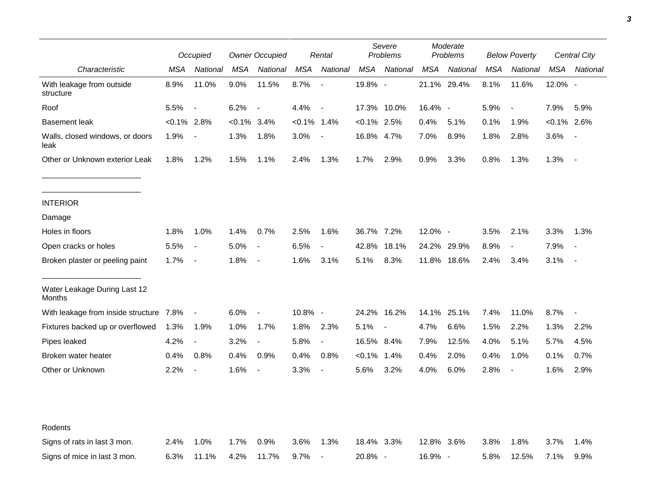|                                         |                | Occupied                 |           | <b>Owner Occupied</b>    |                | Rental                   |                | Severe<br>Problems |            | Moderate<br>Problems |            | <b>Below Poverty</b>     |                | Central City             |
|-----------------------------------------|----------------|--------------------------|-----------|--------------------------|----------------|--------------------------|----------------|--------------------|------------|----------------------|------------|--------------------------|----------------|--------------------------|
| Characteristic                          | MSA            | National                 | MSA       | National                 | <b>MSA</b>     | National                 | <b>MSA</b>     | National           | <b>MSA</b> | National             | <b>MSA</b> | National                 | <b>MSA</b>     | National                 |
| With leakage from outside<br>structure  | 8.9%           | 11.0%                    | 9.0%      | 11.5%                    | 8.7%           | $\sim$                   | 19.8% -        |                    |            | 21.1% 29.4%          | 8.1%       | 11.6%                    | 12.0% -        |                          |
| Roof                                    | 5.5%           | $\overline{\phantom{a}}$ | 6.2%      | $\overline{\phantom{a}}$ | 4.4%           | $\overline{\phantom{a}}$ |                | 17.3% 10.0%        | 16.4% -    |                      | 5.9%       | $\overline{\phantom{a}}$ | 7.9%           | 5.9%                     |
| <b>Basement leak</b>                    | $< 0.1\%$ 2.8% |                          | $< 0.1\%$ | 3.4%                     | $< 0.1\%$ 1.4% |                          | $< 0.1\%$ 2.5% |                    | 0.4%       | 5.1%                 | 0.1%       | 1.9%                     | $< 0.1\%$ 2.6% |                          |
| Walls, closed windows, or doors<br>leak | 1.9%           | $\blacksquare$           | 1.3%      | 1.8%                     | 3.0%           | $\overline{\phantom{a}}$ | 16.8% 4.7%     |                    | 7.0%       | 8.9%                 | 1.8%       | 2.8%                     | 3.6%           |                          |
| Other or Unknown exterior Leak          | 1.8%           | 1.2%                     | 1.5%      | 1.1%                     | 2.4%           | 1.3%                     | 1.7%           | 2.9%               | 0.9%       | 3.3%                 | 0.8%       | 1.3%                     | 1.3%           | $\blacksquare$           |
| <b>INTERIOR</b>                         |                |                          |           |                          |                |                          |                |                    |            |                      |            |                          |                |                          |
| Damage                                  |                |                          |           |                          |                |                          |                |                    |            |                      |            |                          |                |                          |
| Holes in floors                         | 1.8%           | 1.0%                     | 1.4%      | 0.7%                     | 2.5%           | 1.6%                     | 36.7% 7.2%     |                    | 12.0% -    |                      | 3.5%       | 2.1%                     | 3.3%           | 1.3%                     |
| Open cracks or holes                    | 5.5%           | $\blacksquare$           | 5.0%      | $\blacksquare$           | 6.5%           | $\blacksquare$           | 42.8%          | 18.1%              |            | 24.2% 29.9%          | 8.9%       | $\overline{\phantom{a}}$ | 7.9%           |                          |
| Broken plaster or peeling paint         | 1.7%           | $\blacksquare$           | 1.8%      | $\overline{\phantom{a}}$ | 1.6%           | 3.1%                     | 5.1%           | 8.3%               |            | 11.8% 18.6%          | 2.4%       | 3.4%                     | 3.1%           | $\overline{\phantom{a}}$ |
| Water Leakage During Last 12<br>Months  |                |                          |           |                          |                |                          |                |                    |            |                      |            |                          |                |                          |
| With leakage from inside structure 7.8% |                | $\overline{\phantom{a}}$ | 6.0%      | $\blacksquare$           | 10.8% -        |                          | 24.2%          | 16.2%              | 14.1%      | 25.1%                | 7.4%       | 11.0%                    | 8.7%           | $\blacksquare$           |
| Fixtures backed up or overflowed        | 1.3%           | 1.9%                     | 1.0%      | 1.7%                     | 1.8%           | 2.3%                     | 5.1%           | $\blacksquare$     | 4.7%       | 6.6%                 | 1.5%       | 2.2%                     | 1.3%           | 2.2%                     |
| Pipes leaked                            | 4.2%           | $\overline{\phantom{a}}$ | 3.2%      | $\overline{\phantom{a}}$ | 5.8%           | $\overline{\phantom{a}}$ | 16.5% 8.4%     |                    | 7.9%       | 12.5%                | 4.0%       | 5.1%                     | 5.7%           | 4.5%                     |
| Broken water heater                     | 0.4%           | 0.8%                     | 0.4%      | 0.9%                     | 0.4%           | 0.8%                     | $< 0.1\%$ 1.4% |                    | 0.4%       | 2.0%                 | 0.4%       | 1.0%                     | 0.1%           | 0.7%                     |
| Other or Unknown                        | 2.2%           | $\blacksquare$           | 1.6%      | $\overline{\phantom{a}}$ | 3.3%           | $\overline{\phantom{a}}$ | 5.6%           | 3.2%               | 4.0%       | 6.0%                 | 2.8%       | $\blacksquare$           | 1.6%           | 2.9%                     |
|                                         |                |                          |           |                          |                |                          |                |                    |            |                      |            |                          |                |                          |
| Rodents                                 |                |                          |           |                          |                |                          |                |                    |            |                      |            |                          |                |                          |
| Signs of rats in last 3 mon.            | 2.4%           | 1.0%                     | 1.7%      | 0.9%                     | 3.6%           | 1.3%                     | 18.4%          | 3.3%               | 12.8% 3.6% |                      | 3.8%       | 1.8%                     | 3.7%           | 1.4%                     |
| Signs of mice in last 3 mon.            | 6.3%           | 11.1%                    | 4.2%      | 11.7%                    | 9.7%           | $\blacksquare$           | 20.8% -        |                    | 16.9% -    |                      | 5.8%       | 12.5%                    | 7.1%           | 9.9%                     |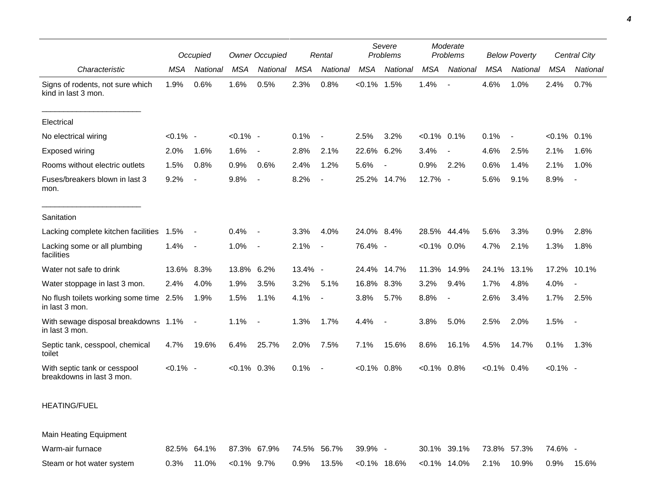|                                                           | Occupied    |                          | <b>Owner Occupied</b><br>Rental |                          |            |                |             | Severe<br>Problems       |                |                 | Moderate<br>Problems<br><b>Below Poverty</b> |                          |             | Central City             |  |
|-----------------------------------------------------------|-------------|--------------------------|---------------------------------|--------------------------|------------|----------------|-------------|--------------------------|----------------|-----------------|----------------------------------------------|--------------------------|-------------|--------------------------|--|
| Characteristic                                            | <b>MSA</b>  | National                 | <b>MSA</b>                      | National                 | <b>MSA</b> | National       | <b>MSA</b>  | National                 | <b>MSA</b>     | <b>National</b> | <b>MSA</b>                                   | National                 | <b>MSA</b>  | National                 |  |
| Signs of rodents, not sure which<br>kind in last 3 mon.   | 1.9%        | 0.6%                     | 1.6%                            | 0.5%                     | 2.3%       | 0.8%           | $< 0.1\%$   | 1.5%                     | 1.4%           |                 | 4.6%                                         | 1.0%                     | 2.4%        | 0.7%                     |  |
| Electrical                                                |             |                          |                                 |                          |            |                |             |                          |                |                 |                                              |                          |             |                          |  |
| No electrical wiring                                      | $< 0.1\%$ - |                          | $< 0.1\%$ -                     |                          | 0.1%       |                | 2.5%        | 3.2%                     | $< 0.1\%$ 0.1% |                 | 0.1%                                         | $\overline{\phantom{a}}$ | $< 0.1\%$   | 0.1%                     |  |
| <b>Exposed wiring</b>                                     | 2.0%        | 1.6%                     | 1.6%                            | $\overline{\phantom{a}}$ | 2.8%       | 2.1%           | 22.6%       | 6.2%                     | 3.4%           |                 | 4.6%                                         | 2.5%                     | 2.1%        | 1.6%                     |  |
| Rooms without electric outlets                            | 1.5%        | 0.8%                     | 0.9%                            | 0.6%                     | 2.4%       | 1.2%           | 5.6%        | $\overline{\phantom{a}}$ | 0.9%           | 2.2%            | 0.6%                                         | 1.4%                     | 2.1%        | 1.0%                     |  |
| Fuses/breakers blown in last 3<br>mon.                    | 9.2%        | $\blacksquare$           | 9.8%                            | $\overline{\phantom{a}}$ | 8.2%       |                | 25.2%       | 14.7%                    | 12.7% -        |                 | 5.6%                                         | 9.1%                     | 8.9%        | $\blacksquare$           |  |
| Sanitation                                                |             |                          |                                 |                          |            |                |             |                          |                |                 |                                              |                          |             |                          |  |
| Lacking complete kitchen facilities                       | 1.5%        | $\overline{\phantom{a}}$ | 0.4%                            | $\sim$                   | 3.3%       | 4.0%           | 24.0% 8.4%  |                          | 28.5%          | 44.4%           | 5.6%                                         | 3.3%                     | 0.9%        | 2.8%                     |  |
| Lacking some or all plumbing<br>facilities                | 1.4%        | $\overline{\phantom{a}}$ | 1.0%                            | $\sim$                   | 2.1%       | $\blacksquare$ | 76.4% -     |                          | $< 0.1\%$ 0.0% |                 | 4.7%                                         | 2.1%                     | 1.3%        | 1.8%                     |  |
| Water not safe to drink                                   | 13.6%       | 8.3%                     | 13.8%                           | 6.2%                     | 13.4% -    |                | 24.4% 14.7% |                          | 11.3%          | 14.9%           | 24.1%                                        | 13.1%                    | 17.2%       | 10.1%                    |  |
| Water stoppage in last 3 mon.                             | 2.4%        | 4.0%                     | 1.9%                            | 3.5%                     | 3.2%       | 5.1%           | 16.8%       | 8.3%                     | 3.2%           | 9.4%            | 1.7%                                         | 4.8%                     | 4.0%        | $\overline{\phantom{a}}$ |  |
| No flush toilets working some time 2.5%<br>in last 3 mon. |             | 1.9%                     | 1.5%                            | 1.1%                     | 4.1%       |                | 3.8%        | 5.7%                     | 8.8%           |                 | 2.6%                                         | 3.4%                     | 1.7%        | 2.5%                     |  |
| With sewage disposal breakdowns 1.1%<br>in last 3 mon.    |             | $\blacksquare$           | 1.1%                            | $\sim$                   | 1.3%       | 1.7%           | 4.4%        | $\blacksquare$           | 3.8%           | 5.0%            | 2.5%                                         | 2.0%                     | 1.5%        | $\sim$                   |  |
| Septic tank, cesspool, chemical<br>toilet                 | 4.7%        | 19.6%                    | 6.4%                            | 25.7%                    | 2.0%       | 7.5%           | 7.1%        | 15.6%                    | 8.6%           | 16.1%           | 4.5%                                         | 14.7%                    | 0.1%        | 1.3%                     |  |
| With septic tank or cesspool<br>breakdowns in last 3 mon. | $< 0.1\%$ - |                          | $< 0.1\%$ 0.3%                  |                          | 0.1%       |                | $< 0.1\%$   | 0.8%                     | $< 0.1\%$ 0.8% |                 | $< 0.1\%$ 0.4%                               |                          | $< 0.1\%$ - |                          |  |

## HEATING/FUEL

Main Heating Equipment

| Warm-air furnace          | 82.5% 64.1% 87.3% 67.9% 74.5% 56.7% 39.9% - |  |                                                                     |  | 30.1% 39.1% 73.8% 57.3% 74.6% |  |  |
|---------------------------|---------------------------------------------|--|---------------------------------------------------------------------|--|-------------------------------|--|--|
| Steam or hot water system | $0.3\%$ 11.0% < 0.1% 9.7%                   |  | $0.9\%$ 13.5% < $0.1\%$ 18.6% < $0.1\%$ 14.0% 2.1% 10.9% 0.9% 15.6% |  |                               |  |  |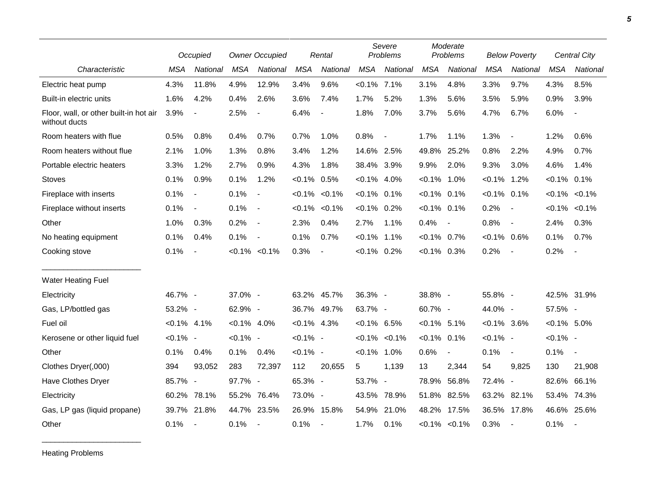|                                                         |                | Occupied       |                | <b>Owner Occupied</b>    |                | Rental                   |                | Severe<br>Problems  |                | Moderate<br>Problems     |                | <b>Below Poverty</b>     |                | Central City             |
|---------------------------------------------------------|----------------|----------------|----------------|--------------------------|----------------|--------------------------|----------------|---------------------|----------------|--------------------------|----------------|--------------------------|----------------|--------------------------|
| Characteristic                                          | <b>MSA</b>     | National       | <b>MSA</b>     | National                 | <b>MSA</b>     | National                 | <b>MSA</b>     | National            | <b>MSA</b>     | National                 | <b>MSA</b>     | National                 | <b>MSA</b>     | National                 |
| Electric heat pump                                      | 4.3%           | 11.8%          | 4.9%           | 12.9%                    | 3.4%           | 9.6%                     | $< 0.1\%$ 7.1% |                     | 3.1%           | 4.8%                     | 3.3%           | 9.7%                     | 4.3%           | 8.5%                     |
| Built-in electric units                                 | 1.6%           | 4.2%           | 0.4%           | 2.6%                     | 3.6%           | 7.4%                     | 1.7%           | 5.2%                | 1.3%           | 5.6%                     | 3.5%           | 5.9%                     | 0.9%           | 3.9%                     |
| Floor, wall, or other built-in hot air<br>without ducts | 3.9%           | $\blacksquare$ | 2.5%           | $\sim$                   | 6.4%           | $\overline{\phantom{a}}$ | 1.8%           | 7.0%                | 3.7%           | 5.6%                     | 4.7%           | 6.7%                     | 6.0%           | $\overline{\phantom{a}}$ |
| Room heaters with flue                                  | 0.5%           | 0.8%           | 0.4%           | 0.7%                     | 0.7%           | 1.0%                     | 0.8%           | $\blacksquare$      | 1.7%           | 1.1%                     | 1.3%           | $\overline{\phantom{a}}$ | 1.2%           | 0.6%                     |
| Room heaters without flue                               | 2.1%           | 1.0%           | 1.3%           | 0.8%                     | 3.4%           | 1.2%                     | 14.6% 2.5%     |                     | 49.8%          | 25.2%                    | 0.8%           | 2.2%                     | 4.9%           | 0.7%                     |
| Portable electric heaters                               | 3.3%           | 1.2%           | 2.7%           | 0.9%                     | 4.3%           | 1.8%                     | 38.4% 3.9%     |                     | 9.9%           | 2.0%                     | 9.3%           | 3.0%                     | 4.6%           | 1.4%                     |
| <b>Stoves</b>                                           | 0.1%           | 0.9%           | 0.1%           | 1.2%                     | $< 0.1\%$ 0.5% |                          | $< 0.1\%$ 4.0% |                     | $< 0.1\%$      | 1.0%                     | $< 0.1\%$      | 1.2%                     | $< 0.1\%$ 0.1% |                          |
| Fireplace with inserts                                  | 0.1%           | $\blacksquare$ | 0.1%           | $\blacksquare$           | $< 0.1\%$      | $< 0.1\%$                | $< 0.1\%$ 0.1% |                     | $< 0.1\%$      | 0.1%                     | $< 0.1\%$ 0.1% |                          | $< 0.1\%$      | $< 0.1\%$                |
| Fireplace without inserts                               | 0.1%           | $\blacksquare$ | 0.1%           | $\overline{\phantom{a}}$ |                | $< 0.1\%$ $< 0.1\%$      | $< 0.1\%$ 0.2% |                     | $< 0.1\%$ 0.1% |                          | 0.2%           | $\overline{\phantom{a}}$ | $< 0.1\%$      | $< 0.1\%$                |
| Other                                                   | 1.0%           | 0.3%           | 0.2%           | $\overline{\phantom{a}}$ | 2.3%           | 0.4%                     | 2.7%           | 1.1%                | 0.4%           | $\overline{\phantom{a}}$ | 0.8%           | $\overline{\phantom{a}}$ | 2.4%           | 0.3%                     |
| No heating equipment                                    | 0.1%           | 0.4%           | 0.1%           | $\overline{\phantom{a}}$ | 0.1%           | 0.7%                     | $< 0.1\%$ 1.1% |                     | $< 0.1\%$      | 0.7%                     | $< 0.1\%$ 0.6% |                          | 0.1%           | 0.7%                     |
| Cooking stove                                           | 0.1%           | $\blacksquare$ |                | $< 0.1\%$ < 0.1%         | 0.3%           | $\blacksquare$           | $< 0.1\%$ 0.2% |                     | $<0.1\%$ 0.3%  |                          | 0.2%           | $\overline{\phantom{a}}$ | 0.2%           | $\overline{\phantom{a}}$ |
| <b>Water Heating Fuel</b>                               |                |                |                |                          |                |                          |                |                     |                |                          |                |                          |                |                          |
| Electricity                                             | 46.7% -        |                | 37.0% -        |                          |                | 63.2% 45.7%              | 36.3% -        |                     | 38.8% -        |                          | 55.8% -        |                          |                | 42.5% 31.9%              |
| Gas, LP/bottled gas                                     | 53.2% -        |                | 62.9% -        |                          |                | 36.7% 49.7%              | 63.7% -        |                     | 60.7% -        |                          | 44.0% -        |                          | 57.5% -        |                          |
| Fuel oil                                                | $< 0.1\%$ 4.1% |                | $< 0.1\%$ 4.0% |                          | $< 0.1\%$ 4.3% |                          | $< 0.1\%$ 6.5% |                     | $< 0.1\%$ 5.1% |                          | $< 0.1\%$ 3.6% |                          | $<0.1\%$ 5.0%  |                          |
| Kerosene or other liquid fuel                           | $< 0.1\%$ -    |                | $< 0.1\%$ -    |                          | $< 0.1\%$ -    |                          |                | $< 0.1\%$ $< 0.1\%$ | $< 0.1\%$      | 0.1%                     | $< 0.1\%$ -    |                          | $< 0.1\%$ -    |                          |
| Other                                                   | 0.1%           | 0.4%           | 0.1%           | 0.4%                     | $< 0.1\%$ -    |                          | $< 0.1\%$      | 1.0%                | 0.6%           | $\overline{\phantom{a}}$ | 0.1%           | $\blacksquare$           | 0.1%           | $\overline{\phantom{a}}$ |
| Clothes Dryer(,000)                                     | 394            | 93,052         | 283            | 72,397                   | 112            | 20,655                   | 5              | 1,139               | 13             | 2,344                    | 54             | 9,825                    | 130            | 21,908                   |
| Have Clothes Dryer                                      | 85.7% -        |                | 97.7% -        |                          | 65.3% -        |                          | 53.7% -        |                     | 78.9%          | 56.8%                    | 72.4%          | $\overline{\phantom{a}}$ | 82.6%          | 66.1%                    |
| Electricity                                             | 60.2%          | 78.1%          | 55.2%          | 76.4%                    | 73.0% -        |                          | 43.5%          | 78.9%               | 51.8%          | 82.5%                    | 63.2%          | 82.1%                    | 53.4%          | 74.3%                    |
| Gas, LP gas (liquid propane)                            | 39.7%          | 21.8%          |                | 44.7% 23.5%              |                | 26.9% 15.8%              | 54.9%          | 21.0%               |                | 48.2% 17.5%              |                | 36.5% 17.8%              |                | 46.6% 25.6%              |
| Other                                                   | 0.1%           | $\blacksquare$ | 0.1%           | $\overline{\phantom{a}}$ | 0.1%           | $\blacksquare$           | 1.7%           | 0.1%                |                | $< 0.1\%$ $< 0.1\%$      | 0.3%           | $\overline{\phantom{a}}$ | 0.1%           | $\sim$                   |

Heating Problems

\_\_\_\_\_\_\_\_\_\_\_\_\_\_\_\_\_\_\_\_\_\_\_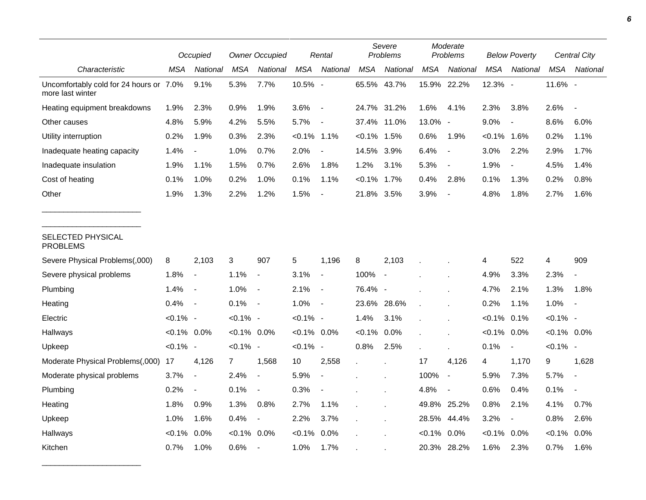|                                                             |                | Occupied                 |                | <b>Owner Occupied</b>    |                | Rental                   |                | Severe<br>Problems       |            | Moderate<br>Problems |            | <b>Below Poverty</b>     |                | Central City   |
|-------------------------------------------------------------|----------------|--------------------------|----------------|--------------------------|----------------|--------------------------|----------------|--------------------------|------------|----------------------|------------|--------------------------|----------------|----------------|
| Characteristic                                              | MSA            | National                 | <b>MSA</b>     | National                 | <b>MSA</b>     | National                 | <b>MSA</b>     | National                 | <b>MSA</b> | National             | <b>MSA</b> | National                 | <b>MSA</b>     | National       |
| Uncomfortably cold for 24 hours or 7.0%<br>more last winter |                | 9.1%                     | 5.3%           | 7.7%                     | 10.5% -        |                          |                | 65.5% 43.7%              |            | 15.9% 22.2%          | 12.3% -    |                          | 11.6% -        |                |
| Heating equipment breakdowns                                | 1.9%           | 2.3%                     | 0.9%           | 1.9%                     | 3.6%           | $\blacksquare$           |                | 24.7% 31.2%              | 1.6%       | 4.1%                 | 2.3%       | 3.8%                     | 2.6%           |                |
| Other causes                                                | 4.8%           | 5.9%                     | 4.2%           | 5.5%                     | 5.7%           | $\overline{\phantom{a}}$ |                | 37.4% 11.0%              | 13.0% -    |                      | 9.0%       | $\overline{\phantom{a}}$ | 8.6%           | 6.0%           |
| Utility interruption                                        | 0.2%           | 1.9%                     | 0.3%           | 2.3%                     | $< 0.1\%$      | 1.1%                     | $< 0.1\%$      | 1.5%                     | 0.6%       | 1.9%                 | $< 0.1\%$  | 1.6%                     | 0.2%           | 1.1%           |
| Inadequate heating capacity                                 | 1.4%           | $\blacksquare$           | 1.0%           | 0.7%                     | 2.0%           | $\overline{\phantom{a}}$ | 14.5% 3.9%     |                          | 6.4%       | $\blacksquare$       | 3.0%       | 2.2%                     | 2.9%           | 1.7%           |
| Inadequate insulation                                       | 1.9%           | 1.1%                     | 1.5%           | 0.7%                     | 2.6%           | 1.8%                     | 1.2%           | 3.1%                     | 5.3%       | $\blacksquare$       | 1.9%       | $\blacksquare$           | 4.5%           | 1.4%           |
| Cost of heating                                             | 0.1%           | 1.0%                     | 0.2%           | 1.0%                     | 0.1%           | 1.1%                     | $< 0.1\%$ 1.7% |                          | 0.4%       | 2.8%                 | 0.1%       | 1.3%                     | 0.2%           | 0.8%           |
| Other                                                       | 1.9%           | 1.3%                     | 2.2%           | 1.2%                     | 1.5%           | $\overline{\phantom{a}}$ | 21.8% 3.5%     |                          | 3.9%       | $\overline{a}$       | 4.8%       | 1.8%                     | 2.7%           | 1.6%           |
| SELECTED PHYSICAL<br><b>PROBLEMS</b>                        |                |                          |                |                          |                |                          |                |                          |            |                      |            |                          |                |                |
| Severe Physical Problems(,000)                              | 8              | 2,103                    | 3              | 907                      | 5              | 1,196                    | 8              | 2,103                    |            |                      | 4          | 522                      | 4              | 909            |
| Severe physical problems                                    | 1.8%           | $\overline{\phantom{a}}$ | 1.1%           | $\blacksquare$           | 3.1%           | $\blacksquare$           | 100%           | $\overline{\phantom{a}}$ |            |                      | 4.9%       | 3.3%                     | 2.3%           | $\sim$         |
| Plumbing                                                    | 1.4%           | $\overline{\phantom{a}}$ | 1.0%           | $\blacksquare$           | 2.1%           | $\blacksquare$           | 76.4% -        |                          |            |                      | 4.7%       | 2.1%                     | 1.3%           | 1.8%           |
| Heating                                                     | 0.4%           | $\overline{\phantom{a}}$ | 0.1%           | $\overline{\phantom{a}}$ | 1.0%           | $\overline{\phantom{a}}$ | 23.6%          | 28.6%                    |            |                      | 0.2%       | 1.1%                     | 1.0%           | $\blacksquare$ |
| Electric                                                    | $< 0.1\%$ -    |                          | $< 0.1\%$ -    |                          | $< 0.1\%$ -    |                          | 1.4%           | 3.1%                     |            |                      | $< 0.1\%$  | 0.1%                     | $< 0.1\%$ -    |                |
| Hallways                                                    | $< 0.1\%$ 0.0% |                          | $< 0.1\%$ 0.0% |                          | $< 0.1\%$ 0.0% |                          | $< 0.1\%$      | 0.0%                     |            |                      | $< 0.1\%$  | 0.0%                     | $< 0.1\%$ 0.0% |                |
| Upkeep                                                      | $< 0.1\%$ -    |                          | $< 0.1\%$ -    |                          | $< 0.1\%$ -    |                          | 0.8%           | 2.5%                     |            |                      | 0.1%       | $\blacksquare$           | $< 0.1\%$ -    |                |
| Moderate Physical Problems(,000)                            | 17             | 4,126                    | 7              | 1,568                    | 10             | 2,558                    | $\epsilon$     |                          | 17         | 4,126                | 4          | 1,170                    | 9              | 1,628          |
| Moderate physical problems                                  | 3.7%           | $\overline{\phantom{a}}$ | 2.4%           | $\overline{\phantom{a}}$ | 5.9%           | $\overline{\phantom{a}}$ |                |                          | 100%       | $\blacksquare$       | 5.9%       | 7.3%                     | 5.7%           | $\overline{a}$ |
| Plumbing                                                    | 0.2%           | $\overline{\phantom{a}}$ | 0.1%           | $\overline{\phantom{a}}$ | 0.3%           | $\blacksquare$           |                |                          | 4.8%       | $\overline{a}$       | 0.6%       | 0.4%                     | 0.1%           |                |
| Heating                                                     | 1.8%           | 0.9%                     | 1.3%           | 0.8%                     | 2.7%           | 1.1%                     |                |                          |            | 49.8% 25.2%          | 0.8%       | 2.1%                     | 4.1%           | 0.7%           |
| Upkeep                                                      | 1.0%           | 1.6%                     | 0.4%           | $\overline{\phantom{a}}$ | 2.2%           | 3.7%                     |                |                          | 28.5%      | 44.4%                | 3.2%       | $\overline{\phantom{a}}$ | 0.8%           | 2.6%           |
| Hallways                                                    | $< 0.1\%$      | 0.0%                     | $< 0.1\%$      | 0.0%                     | $< 0.1\%$      | 0.0%                     |                |                          | $< 0.1\%$  | 0.0%                 | $< 0.1\%$  | 0.0%                     | $< 0.1\%$      | 0.0%           |
| Kitchen                                                     | 0.7%           | 1.0%                     | 0.6%           | $\overline{\phantom{a}}$ | 1.0%           | 1.7%                     |                |                          |            | 20.3% 28.2%          | 1.6%       | 2.3%                     | 0.7%           | 1.6%           |

\_\_\_\_\_\_\_\_\_\_\_\_\_\_\_\_\_\_\_\_\_\_\_